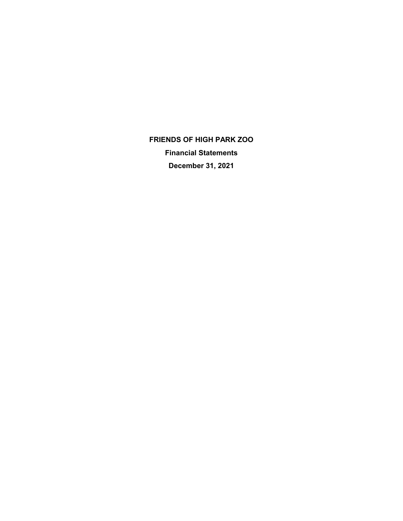**FRIENDS OF HIGH PARK ZOO Financial Statements December 31, 2021**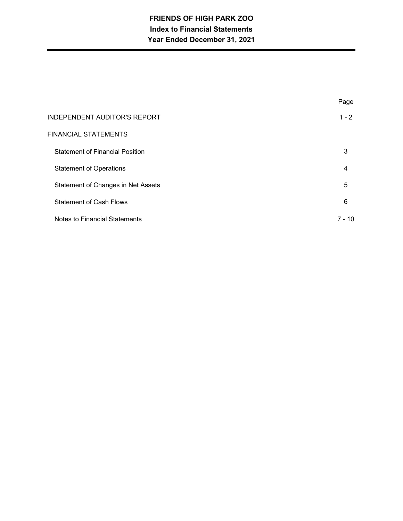## **FRIENDS OF HIGH PARK ZOO Index to Financial Statements Year Ended December 31, 2021**

|                                        | Page     |
|----------------------------------------|----------|
| INDEPENDENT AUDITOR'S REPORT           | $1 - 2$  |
| <b>FINANCIAL STATEMENTS</b>            |          |
| <b>Statement of Financial Position</b> | 3        |
| <b>Statement of Operations</b>         | 4        |
| Statement of Changes in Net Assets     | 5        |
| <b>Statement of Cash Flows</b>         | 6        |
| Notes to Financial Statements          | $7 - 10$ |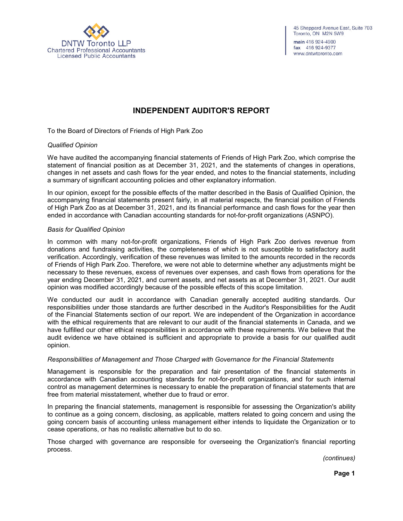

### **INDEPENDENT AUDITOR'S REPORT**

To the Board of Directors of Friends of High Park Zoo

#### *Qualified Opinion*

We have audited the accompanying financial statements of Friends of High Park Zoo, which comprise the statement of financial position as at December 31, 2021, and the statements of changes in operations, changes in net assets and cash flows for the year ended, and notes to the financial statements, including a summary of significant accounting policies and other explanatory information.

In our opinion, except for the possible effects of the matter described in the Basis of Qualified Opinion, the accompanying financial statements present fairly, in all material respects, the financial position of Friends of High Park Zoo as at December 31, 2021, and its financial performance and cash flows for the year then ended in accordance with Canadian accounting standards for not-for-profit organizations (ASNPO).

#### *Basis for Qualified Opinion*

In common with many not-for-profit organizations, Friends of High Park Zoo derives revenue from donations and fundraising activities, the completeness of which is not susceptible to satisfactory audit verification. Accordingly, verification of these revenues was limited to the amounts recorded in the records of Friends of High Park Zoo. Therefore, we were not able to determine whether any adjustments might be necessary to these revenues, excess of revenues over expenses, and cash flows from operations for the year ending December 31, 2021, and current assets, and net assets as at December 31, 2021. Our audit opinion was modified accordingly because of the possible effects of this scope limitation.

We conducted our audit in accordance with Canadian generally accepted auditing standards. Our responsibilities under those standards are further described in the Auditor's Responsibilities for the Audit of the Financial Statements section of our report. We are independent of the Organization in accordance with the ethical requirements that are relevant to our audit of the financial statements in Canada, and we have fulfilled our other ethical responsibilities in accordance with these requirements. We believe that the audit evidence we have obtained is sufficient and appropriate to provide a basis for our qualified audit opinion.

#### *Responsibilities of Management and Those Charged with Governance for the Financial Statements*

Management is responsible for the preparation and fair presentation of the financial statements in accordance with Canadian accounting standards for not-for-profit organizations, and for such internal control as management determines is necessary to enable the preparation of financial statements that are free from material misstatement, whether due to fraud or error.

In preparing the financial statements, management is responsible for assessing the Organization's ability to continue as a going concern, disclosing, as applicable, matters related to going concern and using the going concern basis of accounting unless management either intends to liquidate the Organization or to cease operations, or has no realistic alternative but to do so.

Those charged with governance are responsible for overseeing the Organization's financial reporting process.

*(continues)*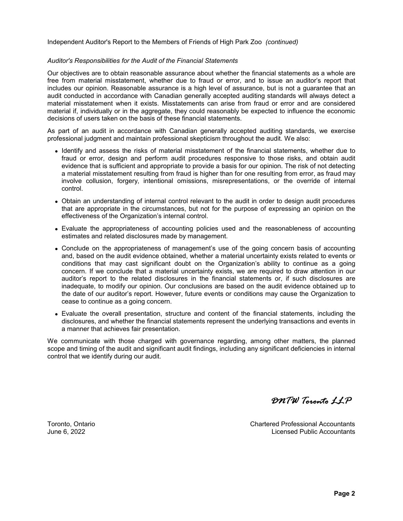#### Independent Auditor's Report to the Members of Friends of High Park Zoo *(continued)*

#### *Auditor's Responsibilities for the Audit of the Financial Statements*

Our objectives are to obtain reasonable assurance about whether the financial statements as a whole are free from material misstatement, whether due to fraud or error, and to issue an auditor's report that includes our opinion. Reasonable assurance is a high level of assurance, but is not a guarantee that an audit conducted in accordance with Canadian generally accepted auditing standards will always detect a material misstatement when it exists. Misstatements can arise from fraud or error and are considered material if, individually or in the aggregate, they could reasonably be expected to influence the economic decisions of users taken on the basis of these financial statements.

As part of an audit in accordance with Canadian generally accepted auditing standards, we exercise professional judgment and maintain professional skepticism throughout the audit. We also:

- Identify and assess the risks of material misstatement of the financial statements, whether due to fraud or error, design and perform audit procedures responsive to those risks, and obtain audit evidence that is sufficient and appropriate to provide a basis for our opinion. The risk of not detecting a material misstatement resulting from fraud is higher than for one resulting from error, as fraud may involve collusion, forgery, intentional omissions, misrepresentations, or the override of internal control.
- Obtain an understanding of internal control relevant to the audit in order to design audit procedures that are appropriate in the circumstances, but not for the purpose of expressing an opinion on the effectiveness of the Organization's internal control.
- Evaluate the appropriateness of accounting policies used and the reasonableness of accounting estimates and related disclosures made by management.
- Conclude on the appropriateness of management's use of the going concern basis of accounting and, based on the audit evidence obtained, whether a material uncertainty exists related to events or conditions that may cast significant doubt on the Organization's ability to continue as a going concern. If we conclude that a material uncertainty exists, we are required to draw attention in our auditor's report to the related disclosures in the financial statements or, if such disclosures are inadequate, to modify our opinion. Our conclusions are based on the audit evidence obtained up to the date of our auditor's report. However, future events or conditions may cause the Organization to cease to continue as a going concern.
- Evaluate the overall presentation, structure and content of the financial statements, including the disclosures, and whether the financial statements represent the underlying transactions and events in a manner that achieves fair presentation.

We communicate with those charged with governance regarding, among other matters, the planned scope and timing of the audit and significant audit findings, including any significant deficiencies in internal control that we identify during our audit.

DNTW Toronto LLP

Toronto, Ontario Chartered Professional Accountants June 6, 2022 Licensed Public Accountants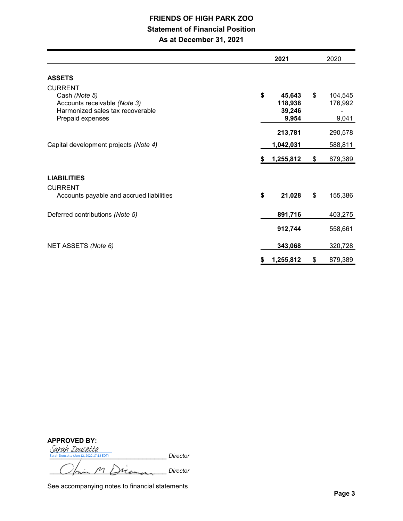## **FRIENDS OF HIGH PARK ZOO Statement of Financial Position**

**As at December 31, 2021**

|                                                                                                                         |    | 2021                                 | 2020                              |
|-------------------------------------------------------------------------------------------------------------------------|----|--------------------------------------|-----------------------------------|
| <b>ASSETS</b>                                                                                                           |    |                                      |                                   |
| <b>CURRENT</b><br>Cash (Note 5)<br>Accounts receivable (Note 3)<br>Harmonized sales tax recoverable<br>Prepaid expenses | \$ | 45,643<br>118,938<br>39,246<br>9,954 | \$<br>104,545<br>176,992<br>9,041 |
| Capital development projects (Note 4)                                                                                   |    | 213,781<br>1,042,031                 | 290,578<br>588,811                |
|                                                                                                                         | S. | 1,255,812                            | \$<br>879,389                     |
| <b>LIABILITIES</b>                                                                                                      |    |                                      |                                   |
| <b>CURRENT</b><br>Accounts payable and accrued liabilities                                                              | \$ | 21,028                               | \$<br>155,386                     |
| Deferred contributions (Note 5)                                                                                         |    | 891,716                              | 403,275                           |
|                                                                                                                         |    | 912,744                              | 558,661                           |
| NET ASSETS (Note 6)                                                                                                     |    | 343,068                              | 320,728                           |
|                                                                                                                         |    | 1,255,812                            | \$<br>879,389                     |

**APPROVED BY: Sarah Doucette (Jun 12, 2022 17:18 EDT) Director** Sarah Doucette

\_\_\_\_\_\_\_\_\_\_\_\_\_\_\_\_\_\_\_\_\_\_\_\_\_\_\_\_\_ *Director* 

See accompanying notes to financial statements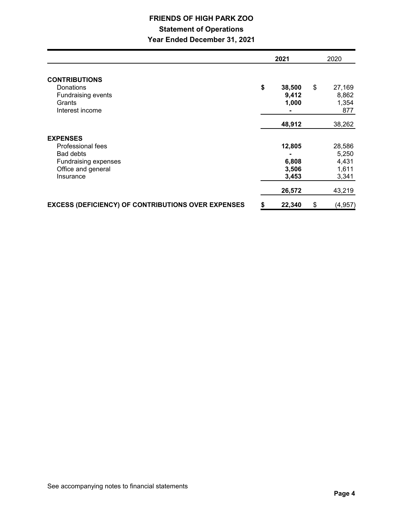## **FRIENDS OF HIGH PARK ZOO Statement of Operations Year Ended December 31, 2021**

|                                                                                                              | 2021                              | 2020                                       |
|--------------------------------------------------------------------------------------------------------------|-----------------------------------|--------------------------------------------|
| <b>CONTRIBUTIONS</b><br>Donations<br>Fundraising events<br>Grants<br>Interest income                         | \$<br>38,500<br>9,412<br>1,000    | \$<br>27,169<br>8,862<br>1,354<br>877      |
|                                                                                                              | 48,912                            | 38,262                                     |
| <b>EXPENSES</b><br>Professional fees<br>Bad debts<br>Fundraising expenses<br>Office and general<br>Insurance | 12,805<br>6,808<br>3,506<br>3,453 | 28,586<br>5,250<br>4,431<br>1,611<br>3,341 |
| <b>EXCESS (DEFICIENCY) OF CONTRIBUTIONS OVER EXPENSES</b>                                                    | \$<br>26,572<br>22,340            | \$<br>43,219<br>(4,957)                    |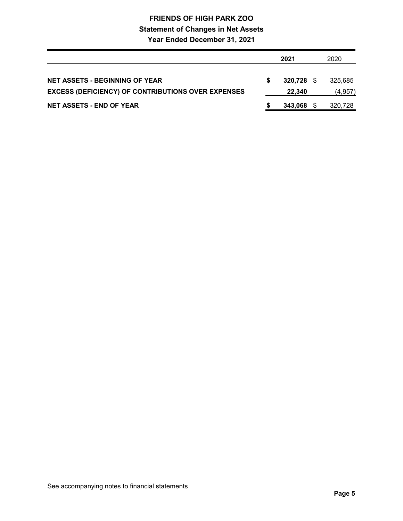## **FRIENDS OF HIGH PARK ZOO Statement of Changes in Net Assets Year Ended December 31, 2021**

|                                                           | 2021 |            | 2020 |         |
|-----------------------------------------------------------|------|------------|------|---------|
|                                                           |      |            |      |         |
| <b>NET ASSETS - BEGINNING OF YEAR</b>                     | S    | 320.728 \$ |      | 325.685 |
| <b>EXCESS (DEFICIENCY) OF CONTRIBUTIONS OVER EXPENSES</b> |      | 22.340     |      | (4.957) |
| <b>NET ASSETS - END OF YEAR</b>                           |      | 343,068    | - \$ | 320,728 |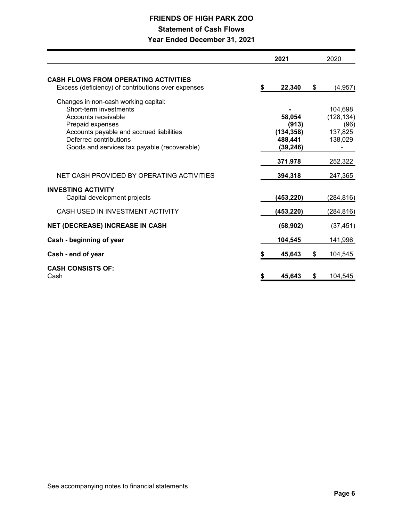## **FRIENDS OF HIGH PARK ZOO Statement of Cash Flows**

## **Year Ended December 31, 2021**

|                                                                                                                                                                                                                                 | 2021                                                             | 2020                                                           |
|---------------------------------------------------------------------------------------------------------------------------------------------------------------------------------------------------------------------------------|------------------------------------------------------------------|----------------------------------------------------------------|
| <b>CASH FLOWS FROM OPERATING ACTIVITIES</b><br>Excess (deficiency) of contributions over expenses                                                                                                                               | \$<br>22,340                                                     | \$<br>(4,957)                                                  |
| Changes in non-cash working capital:<br>Short-term investments<br>Accounts receivable<br>Prepaid expenses<br>Accounts payable and accrued liabilities<br>Deferred contributions<br>Goods and services tax payable (recoverable) | 58,054<br>(913)<br>(134, 358)<br>488,441<br>(39, 246)<br>371,978 | 104,698<br>(128, 134)<br>(96)<br>137,825<br>138,029<br>252,322 |
| NET CASH PROVIDED BY OPERATING ACTIVITIES                                                                                                                                                                                       | 394,318                                                          | 247,365                                                        |
| <b>INVESTING ACTIVITY</b><br>Capital development projects<br>CASH USED IN INVESTMENT ACTIVITY                                                                                                                                   | (453, 220)<br>(453, 220)                                         | (284,816)<br>(284, 816)                                        |
| <b>NET (DECREASE) INCREASE IN CASH</b>                                                                                                                                                                                          | (58, 902)                                                        | (37, 451)                                                      |
| Cash - beginning of year                                                                                                                                                                                                        | 104,545                                                          | 141,996                                                        |
| Cash - end of year                                                                                                                                                                                                              | \$<br>45,643                                                     | \$<br>104,545                                                  |
| <b>CASH CONSISTS OF:</b><br>Cash                                                                                                                                                                                                | \$<br>45,643                                                     | \$<br>104,545                                                  |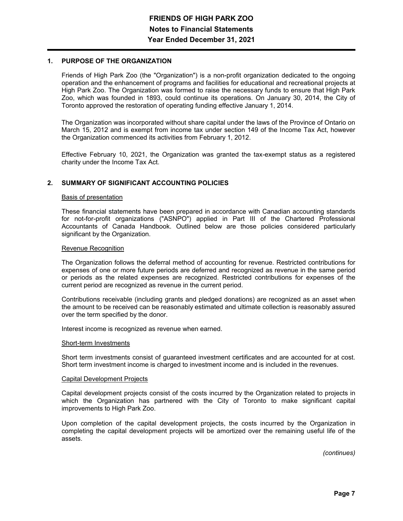#### **1. PURPOSE OF THE ORGANIZATION**

Friends of High Park Zoo (the "Organization") is a non-profit organization dedicated to the ongoing operation and the enhancement of programs and facilities for educational and recreational projects at High Park Zoo. The Organization was formed to raise the necessary funds to ensure that High Park Zoo, which was founded in 1893, could continue its operations. On January 30, 2014, the City of Toronto approved the restoration of operating funding effective January 1, 2014.

The Organization was incorporated without share capital under the laws of the Province of Ontario on March 15, 2012 and is exempt from income tax under section 149 of the Income Tax Act, however the Organization commenced its activities from February 1, 2012.

Effective February 10, 2021, the Organization was granted the tax-exempt status as a registered charity under the Income Tax Act.

#### **2. SUMMARY OF SIGNIFICANT ACCOUNTING POLICIES**

#### Basis of presentation

These financial statements have been prepared in accordance with Canadian accounting standards for not-for-profit organizations ("ASNPO") applied in Part III of the Chartered Professional Accountants of Canada Handbook. Outlined below are those policies considered particularly significant by the Organization.

#### Revenue Recognition

The Organization follows the deferral method of accounting for revenue. Restricted contributions for expenses of one or more future periods are deferred and recognized as revenue in the same period or periods as the related expenses are recognized. Restricted contributions for expenses of the current period are recognized as revenue in the current period.

Contributions receivable (including grants and pledged donations) are recognized as an asset when the amount to be received can be reasonably estimated and ultimate collection is reasonably assured over the term specified by the donor.

Interest income is recognized as revenue when earned.

#### Short-term Investments

Short term investments consist of guaranteed investment certificates and are accounted for at cost. Short term investment income is charged to investment income and is included in the revenues.

#### Capital Development Projects

Capital development projects consist of the costs incurred by the Organization related to projects in which the Organization has partnered with the City of Toronto to make significant capital improvements to High Park Zoo.

Upon completion of the capital development projects, the costs incurred by the Organization in completing the capital development projects will be amortized over the remaining useful life of the assets.

*(continues)*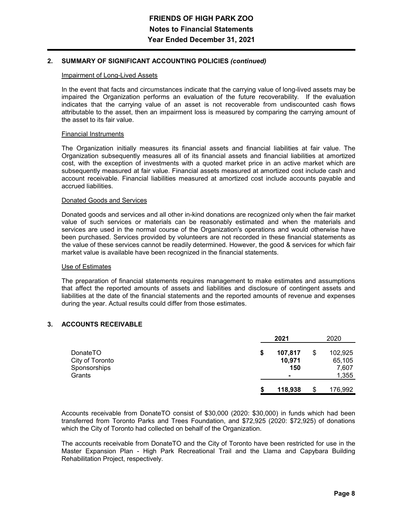#### **2. SUMMARY OF SIGNIFICANT ACCOUNTING POLICIES** *(continued)*

#### Impairment of Long-Lived Assets

In the event that facts and circumstances indicate that the carrying value of long-lived assets may be impaired the Organization performs an evaluation of the future recoverability. If the evaluation indicates that the carrying value of an asset is not recoverable from undiscounted cash flows attributable to the asset, then an impairment loss is measured by comparing the carrying amount of the asset to its fair value.

#### Financial Instruments

The Organization initially measures its financial assets and financial liabilities at fair value. The Organization subsequently measures all of its financial assets and financial liabilities at amortized cost, with the exception of investments with a quoted market price in an active market which are subsequently measured at fair value. Financial assets measured at amortized cost include cash and account receivable. Financial liabilities measured at amortized cost include accounts payable and accrued liabilities.

#### Donated Goods and Services

Donated goods and services and all other in-kind donations are recognized only when the fair market value of such services or materials can be reasonably estimated and when the materials and services are used in the normal course of the Organization's operations and would otherwise have been purchased. Services provided by volunteers are not recorded in these financial statements as the value of these services cannot be readily determined. However, the good & services for which fair market value is available have been recognized in the financial statements.

#### Use of Estimates

The preparation of financial statements requires management to make estimates and assumptions that affect the reported amounts of assets and liabilities and disclosure of contingent assets and liabilities at the date of the financial statements and the reported amounts of revenue and expenses during the year. Actual results could differ from those estimates.

#### **3. ACCOUNTS RECEIVABLE**

|                 |    | 2021    |    | 2020    |  |
|-----------------|----|---------|----|---------|--|
| DonateTO        | \$ | 107,817 | \$ | 102,925 |  |
| City of Toronto |    | 10,971  |    | 65,105  |  |
| Sponsorships    |    | 150     |    | 7,607   |  |
| Grants          |    |         |    | 1,355   |  |
|                 | S  | 118,938 | S  | 176,992 |  |

Accounts receivable from DonateTO consist of \$30,000 (2020: \$30,000) in funds which had been transferred from Toronto Parks and Trees Foundation, and \$72,925 (2020: \$72,925) of donations which the City of Toronto had collected on behalf of the Organization.

The accounts receivable from DonateTO and the City of Toronto have been restricted for use in the Master Expansion Plan - High Park Recreational Trail and the Llama and Capybara Building Rehabilitation Project, respectively.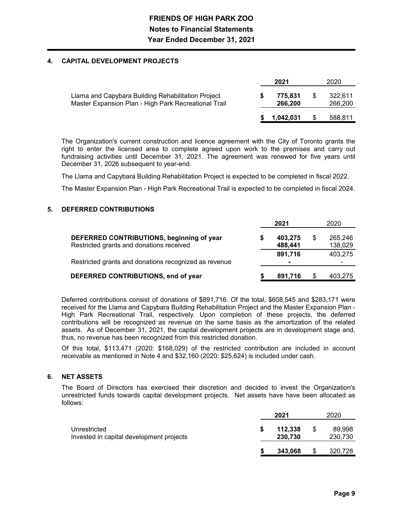#### **4. CAPITAL DEVELOPMENT PROJECTS**

|                                                                                                            | 2021               |   | 2020               |
|------------------------------------------------------------------------------------------------------------|--------------------|---|--------------------|
| Llama and Capybara Building Rehabilitation Project<br>Master Expansion Plan - High Park Recreational Trail | 775.831<br>266,200 | S | 322.611<br>266,200 |
|                                                                                                            | 1,042,031          | S | 588.811            |

The Organization's current construction and licence agreement with the City of Toronto grants the right to enter the licensed area to complete agreed upon work to the premises and carry out fundraising activities until December 31, 2021. The agreement was renewed for five years until December 31, 2026 subsequent to year-end.

The Llama and Capybara Building Rehabilitation Project is expected to be completed in fiscal 2022.

The Master Expansion Plan - High Park Recreational Trail is expected to be completed in fiscal 2024.

#### **5. DEFERRED CONTRIBUTIONS**

|                                                                                       |   | 2021                      | 2020                                |
|---------------------------------------------------------------------------------------|---|---------------------------|-------------------------------------|
| DEFERRED CONTRIBUTIONS, beginning of year<br>Restricted grants and donations received | S | 403,275<br>488,441        | 265,246<br>138,029                  |
| Restricted grants and donations recognized as revenue                                 |   | 891,716<br>$\blacksquare$ | 403,275<br>$\overline{\phantom{0}}$ |
| DEFERRED CONTRIBUTIONS, end of year                                                   |   | 891,716                   | 403,275                             |

Deferred contributions consist of donations of \$891,716. Of the total, \$608,545 and \$283,171 were received for the Llama and Capybara Building Rehabilitation Project and the Master Expansion Plan - High Park Recreational Trail, respectively. Upon completion of these projects, the deferred contributions will be recognized as revenue on the same basis as the amortization of the related assets. As of December 31, 2021, the capital development projects are in development stage and, thus, no revenue has been recognized from this restricted donation.

Of this total, \$113,471 (2020: \$168,029) of the restricted contribution are included in account receivable as mentioned in Note 4 and \$32,160 (2020: \$25,624) is included under cash.

#### **6. NET ASSETS**

The Board of Directors has exercised their discretion and decided to invest the Organization's unrestricted funds towards capital development projects. Net assets have have been allocated as follows:

|                                                          | 2021               |   | 2020              |
|----------------------------------------------------------|--------------------|---|-------------------|
| Unrestricted<br>Invested in capital development projects | 112.338<br>230,730 | S | 89.998<br>230,730 |
|                                                          | 343,068            | S | 320,728           |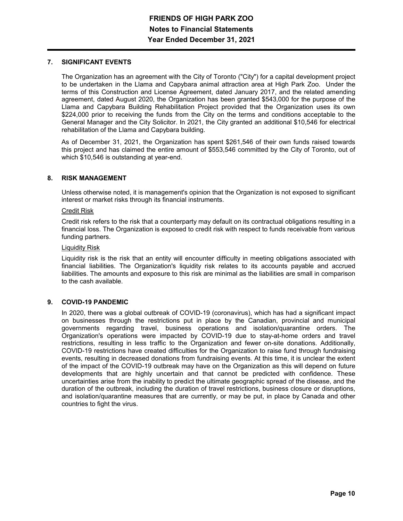#### **7. SIGNIFICANT EVENTS**

The Organization has an agreement with the City of Toronto ("City") for a capital development project to be undertaken in the Llama and Capybara animal attraction area at High Park Zoo. Under the terms of this Construction and License Agreement, dated January 2017, and the related amending agreement, dated August 2020, the Organization has been granted \$543,000 for the purpose of the Llama and Capybara Building Rehabilitation Project provided that the Organization uses its own \$224,000 prior to receiving the funds from the City on the terms and conditions acceptable to the General Manager and the City Solicitor. In 2021, the City granted an additional \$10,546 for electrical rehabilitation of the Llama and Capybara building.

As of December 31, 2021, the Organization has spent \$261,546 of their own funds raised towards this project and has claimed the entire amount of \$553,546 committed by the City of Toronto, out of which \$10,546 is outstanding at year-end.

#### **8. RISK MANAGEMENT**

Unless otherwise noted, it is management's opinion that the Organization is not exposed to significant interest or market risks through its financial instruments.

#### Credit Risk

Credit risk refers to the risk that a counterparty may default on its contractual obligations resulting in a financial loss. The Organization is exposed to credit risk with respect to funds receivable from various funding partners.

#### Liquidity Risk

Liquidity risk is the risk that an entity will encounter difficulty in meeting obligations associated with financial liabilities. The Organization's liquidity risk relates to its accounts payable and accrued liabilities. The amounts and exposure to this risk are minimal as the liabilities are small in comparison to the cash available.

#### **9. COVID-19 PANDEMIC**

In 2020, there was a global outbreak of COVID-19 (coronavirus), which has had a significant impact on businesses through the restrictions put in place by the Canadian, provincial and municipal governments regarding travel, business operations and isolation/quarantine orders. The Organization's operations were impacted by COVID-19 due to stay-at-home orders and travel restrictions, resulting in less traffic to the Organization and fewer on-site donations. Additionally, COVID-19 restrictions have created difficulties for the Organization to raise fund through fundraising events, resulting in decreased donations from fundraising events. At this time, it is unclear the extent of the impact of the COVID-19 outbreak may have on the Organization as this will depend on future developments that are highly uncertain and that cannot be predicted with confidence. These uncertainties arise from the inability to predict the ultimate geographic spread of the disease, and the duration of the outbreak, including the duration of travel restrictions, business closure or disruptions, and isolation/quarantine measures that are currently, or may be put, in place by Canada and other countries to fight the virus.